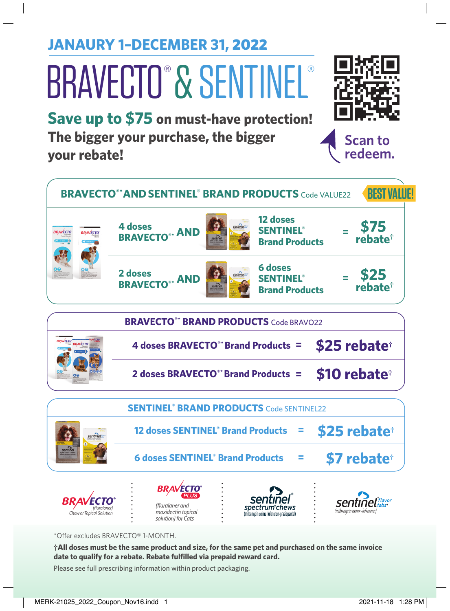**JANAURY 1–DECEMBER 31,** 2022

# BRAVECTO® & SENTINEL®

**Save up to \$75 on must-have protection! The bigger your purchase, the bigger your rebate!**



**Scan to redeem.**

\*Offer excludes BRAVECTO® 1-MONTH.

**†All doses must be the same product and size, for the same pet and purchased on the same invoice date to qualify for a rebate. Rebate fulfilled via prepaid reward card.**

Please see full prescribing information within product packaging.